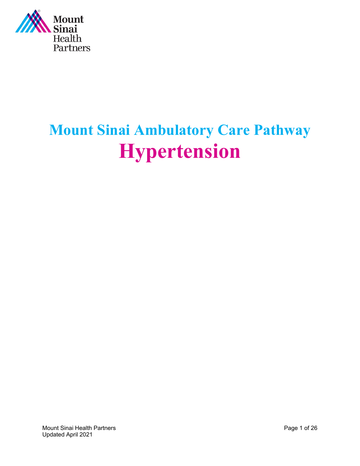

# **Mount Sinai Ambulatory Care Pathway Hypertension**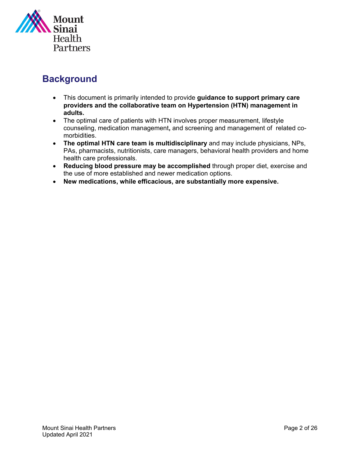

# **Background**

- This document is primarily intended to provide **guidance to support primary care providers and the collaborative team on Hypertension (HTN) management in adults.**
- The optimal care of patients with HTN involves proper measurement, lifestyle counseling, medication management**,** and screening and management of related comorbidities.
- **The optimal HTN care team is multidisciplinary** and may include physicians, NPs, PAs, pharmacists, nutritionists, care managers, behavioral health providers and home health care professionals.
- **Reducing blood pressure may be accomplished** through proper diet, exercise and the use of more established and newer medication options.
- **New medications, while efficacious, are substantially more expensive.**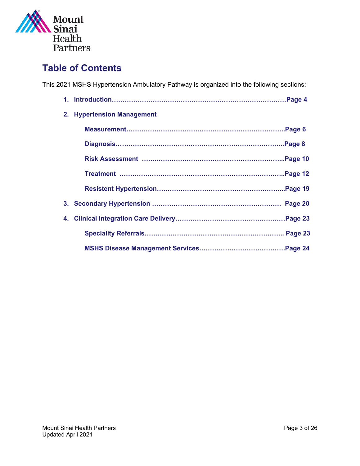

# **Table of Contents**

This 2021 MSHS Hypertension Ambulatory Pathway is organized into the following sections:

| 2. Hypertension Management |
|----------------------------|
|                            |
|                            |
|                            |
|                            |
|                            |
|                            |
|                            |
|                            |
|                            |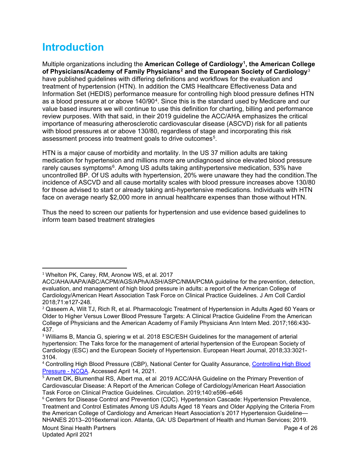# **Introduction**

Multiple organizations including the **American College of Cardiology[1](#page-3-0) , the American College of Physicians/Academy of Family Physicians[2](#page-3-1) and the European Society of Cardiology**[3](#page-3-2) have published guidelines with differing definitions and workflows for the evaluation and treatment of hypertension (HTN). In addition the CMS Healthcare Effectiveness Data and Information Set (HEDIS) performance measure for controlling high blood pressure defines HTN as a blood pressure at or above 140/90[4.](#page-3-3) Since this is the standard used by Medicare and our value based insurers we will continue to use this definition for charting, billing and performance review purposes. With that said, in their 2019 guideline the ACC/AHA emphasizes the critical importance of measuring atherosclerotic cardiovascular disease (ASCVD) risk for all patients with blood pressures at or above 130/80, regardless of stage and incorporating this risk assessment process into treatment goals to drive outcomes<sup>[5](#page-3-4)</sup>.

HTN is a major cause of morbidity and mortality. In the US 37 million adults are taking medication for hypertension and millions more are undiagnosed since elevated blood pressure rarely causes symptoms<sup>[6](#page-3-5)</sup>. Among US adults taking antihypertensive medication, 53% have uncontrolled BP. Of US adults with hypertension, 20% were unaware they had the condition.The incidence of ASCVD and all cause mortality scales with blood pressure increases above 130/80 for those advised to start or already taking anti-hypertensive medications. Individuals with HTN face on average nearly \$2,000 more in annual healthcare expenses than those without HTN.

Thus the need to screen our patients for hypertension and use evidence based guidelines to inform team based treatment strategies

<span id="page-3-0"></span><sup>&</sup>lt;sup>1</sup> Whelton PK, Carey, RM, Aronow WS, et al. 2017

ACC/AHA/AAPA/ABC/ACPM/AGS/APhA/ASH/ASPC/NMA/PCMA guideline for the prevention, detection, evaluation, and management of high blood pressure in adults: a report of the American College of Cardiology/American Heart Association Task Force on Clinical Practice Guidelines. J Am Coll Cardiol 2018;71:e127-248.

<span id="page-3-1"></span><sup>2</sup> Qaseem A, Wilt TJ, Rich R, et al. Pharmacologic Treatment of Hypertension in Adults Aged 60 Years or Older to Higher Versus Lower Blood Pressure Targets: A Clinical Practice Guideline From the American College of Physicians and the American Academy of Family Physicians Ann Intern Med. 2017;166:430- 437.

<span id="page-3-2"></span><sup>&</sup>lt;sup>3</sup> Williams B, Mancia G, spiering w et al. 2018 ESC/ESH Guidelines for the management of arterial hypertension: The Taks force for the management of arterial hypertension of the European Society of Cardiology (ESC) and the European Society of Hypertension. European Heart Journal, 2018;33:3021- 3104.

<span id="page-3-3"></span><sup>4</sup> Controlling High Blood Pressure (CBP), National Center for Quality Assurance, [Controlling High Blood](https://www.ncqa.org/hedis/measures/controlling-high-blood-pressure/)  [Pressure -](https://www.ncqa.org/hedis/measures/controlling-high-blood-pressure/) NCQA. Accessed April 14, 2021.

<span id="page-3-4"></span><sup>&</sup>lt;sup>5</sup> Arnett DK, Blumenthal RS, Albert ma, et al 2019 ACC/AHA Guideline on the Primary Prevention of Cardiovascular Disease: A Report of the American College of Cardiology/American Heart Association Task Force on Clinical Practice Guidelines. Circulation. 2019;140:e596–e646

<span id="page-3-5"></span><sup>6</sup> Centers for Disease Control and Prevention (CDC). Hypertension Cascade: Hypertension Prevalence, Treatment and Control Estimates Among US Adults Aged 18 Years and Older Applying the Criteria From the American College of Cardiology and American Heart Association's 2017 Hypertension Guideline— NHANES 2013–2016external icon. Atlanta, GA: US Department of Health and Human Services; 2019.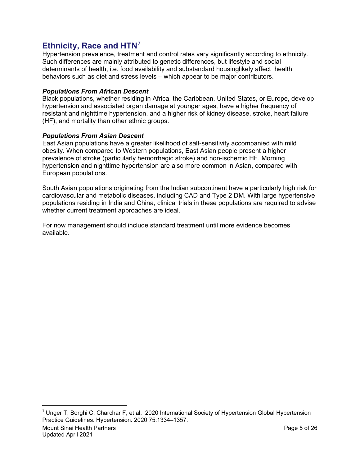### **Ethnicity, Race and HTN[7](#page-4-0)**

Hypertension prevalence, treatment and control rates vary significantly according to ethnicity. Such differences are mainly attributed to genetic differences, but lifestyle and social determinants of health, i.e. food availability and substandard housinglikely affect health behaviors such as diet and stress levels – which appear to be major contributors.

#### *Populations From African Descent*

Black populations, whether residing in Africa, the Caribbean, United States, or Europe, develop hypertension and associated organ damage at younger ages, have a higher frequency of resistant and nighttime hypertension, and a higher risk of kidney disease, stroke, heart failure (HF), and mortality than other ethnic groups.

#### *Populations From Asian Descent*

East Asian populations have a greater likelihood of salt-sensitivity accompanied with mild obesity. When compared to Western populations, East Asian people present a higher prevalence of stroke (particularly hemorrhagic stroke) and non-ischemic HF. Morning hypertension and nighttime hypertension are also more common in Asian, compared with European populations.

South Asian populations originating from the Indian subcontinent have a particularly high risk for cardiovascular and metabolic diseases, including CAD and Type 2 DM. With large hypertensive populations residing in India and China, clinical trials in these populations are required to advise whether current treatment approaches are ideal.

For now management should include standard treatment until more evidence becomes available.

<span id="page-4-0"></span>Mount Sinai Health Partners Page 5 of 26 Updated April 2021  $7$  Unger T, Borghi C, Charchar F, et al. 2020 International Society of Hypertension Global Hypertension Practice Guidelines. Hypertension. 2020;75:1334–1357.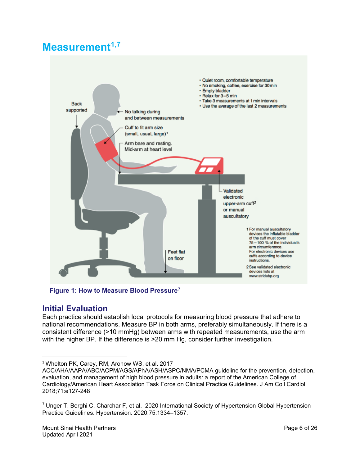# **Measurement[1,](#page-5-0)[7](#page-5-1)**



**Figure 1: How to Measure Blood Pressure[7](#page-5-2)**

#### **Initial Evaluation**

Each practice should establish local protocols for measuring blood pressure that adhere to national recommendations. Measure BP in both arms, preferably simultaneously. If there is a consistent difference (>10 mmHg) between arms with repeated measurements, use the arm with the higher BP. If the difference is >20 mm Hg, consider further investigation.

<span id="page-5-0"></span><sup>&</sup>lt;sup>1</sup> Whelton PK, Carey, RM, Aronow WS, et al. 2017

ACC/AHA/AAPA/ABC/ACPM/AGS/APhA/ASH/ASPC/NMA/PCMA guideline for the prevention, detection, evaluation, and management of high blood pressure in adults: a report of the American College of Cardiology/American Heart Association Task Force on Clinical Practice Guidelines. J Am Coll Cardiol 2018;71:e127-248

<span id="page-5-2"></span><span id="page-5-1"></span> $7$  Unger T, Borghi C, Charchar F, et al. 2020 International Society of Hypertension Global Hypertension Practice Guidelines. Hypertension. 2020;75:1334–1357.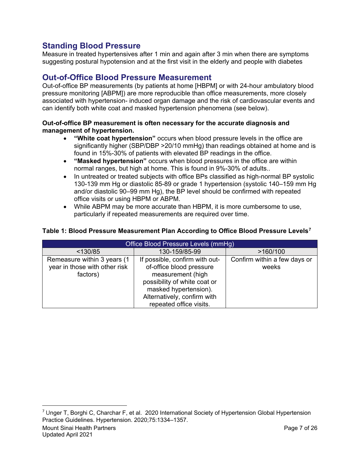### **Standing Blood Pressure**

Measure in treated hypertensives after 1 min and again after 3 min when there are symptoms suggesting postural hypotension and at the first visit in the elderly and people with diabetes

#### **Out-of-Office Blood Pressure Measurement**

Out-of-office BP measurements (by patients at home [HBPM] or with 24-hour ambulatory blood pressure monitoring [ABPM]) are more reproducible than office measurements, more closely associated with hypertension- induced organ damage and the risk of cardiovascular events and can identify both white coat and masked hypertension phenomena (see below).

#### **Out-of-office BP measurement is often necessary for the accurate diagnosis and management of hypertension.**

- **"White coat hypertension"** occurs when blood pressure levels in the office are significantly higher (SBP/DBP > 20/10 mmHg) than readings obtained at home and is found in 15%-30% of patients with elevated BP readings in the office.
- **"Masked hypertension"** occurs when blood pressures in the office are within normal ranges, but high at home. This is found in 9%-30% of adults..
- In untreated or treated subjects with office BPs classified as high-normal BP systolic 130-139 mm Hg or diastolic 85-89 or grade 1 hypertension (systolic 140–159 mm Hg and/or diastolic 90–99 mm Hg), the BP level should be confirmed with repeated office visits or using HBPM or ABPM.
- While ABPM may be more accurate than HBPM, it is more cumbersome to use, particularly if repeated measurements are required over time.

#### **Table 1: Blood Pressure Measurement Plan According to Office Blood Pressure Levels[7](#page-6-0)**

| Office Blood Pressure Levels (mmHg) |                                |                              |  |  |
|-------------------------------------|--------------------------------|------------------------------|--|--|
| < 130/85                            | 130-159/85-99                  | >160/100                     |  |  |
| Remeasure within 3 years (1         | If possible, confirm with out- | Confirm within a few days or |  |  |
| year in those with other risk       | of-office blood pressure       | weeks                        |  |  |
| factors)                            | measurement (high              |                              |  |  |
|                                     | possibility of white coat or   |                              |  |  |
|                                     | masked hypertension).          |                              |  |  |
|                                     | Alternatively, confirm with    |                              |  |  |
|                                     | repeated office visits.        |                              |  |  |

<span id="page-6-0"></span>Mount Sinai Health Partners Page 7 of 26 Updated April 2021  $7$  Unger T, Borghi C, Charchar F, et al. 2020 International Society of Hypertension Global Hypertension Practice Guidelines. Hypertension. 2020;75:1334–1357.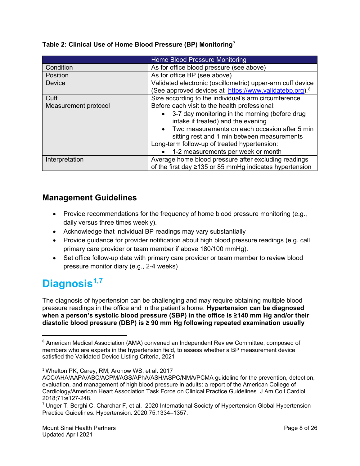|  |  |  | Table 2: Clinical Use of Home Blood Pressure (BP) Monitoring <sup>7</sup> |  |
|--|--|--|---------------------------------------------------------------------------|--|
|  |  |  |                                                                           |  |

|                      | Home Blood Pressure Monitoring                                                       |  |  |
|----------------------|--------------------------------------------------------------------------------------|--|--|
| Condition            | As for office blood pressure (see above)                                             |  |  |
| Position             | As for office BP (see above)                                                         |  |  |
| <b>Device</b>        | Validated electronic (oscillometric) upper-arm cuff device                           |  |  |
|                      | (See approved devices at https://www.validatebp.org). <sup>8</sup>                   |  |  |
| Cuff                 | Size according to the individual's arm circumference                                 |  |  |
| Measurement protocol | Before each visit to the health professional:                                        |  |  |
|                      | 3-7 day monitoring in the morning (before drug<br>intake if treated) and the evening |  |  |
|                      | Two measurements on each occasion after 5 min                                        |  |  |
|                      | sitting rest and 1 min between measurements                                          |  |  |
|                      | Long-term follow-up of treated hypertension:                                         |  |  |
|                      | 1-2 measurements per week or month                                                   |  |  |
| Interpretation       | Average home blood pressure after excluding readings                                 |  |  |
|                      | of the first day $\geq$ 135 or 85 mmHg indicates hypertension                        |  |  |

#### **Management Guidelines**

- Provide recommendations for the frequency of home blood pressure monitoring (e.g., daily versus three times weekly).
- Acknowledge that individual BP readings may vary substantially
- Provide guidance for provider notification about high blood pressure readings (e.g. call primary care provider or team member if above 180/100 mmHg).
- Set office follow-up date with primary care provider or team member to review blood pressure monitor diary (e.g., 2-4 weeks)

# **Diagnosis[1,](#page-7-2)[7](#page-7-3)**

The diagnosis of hypertension can be challenging and may require obtaining multiple blood pressure readings in the office and in the patient's home. **Hypertension can be diagnosed when a person's systolic blood pressure (SBP) in the office is ≥140 mm Hg and/or their diastolic blood pressure (DBP) is ≥ 90 mm Hg following repeated examination usually** 

<span id="page-7-2"></span><span id="page-7-1"></span><sup>1</sup> Whelton PK, Carey, RM, Aronow WS, et al. 2017

<span id="page-7-0"></span> <sup>8</sup> American Medical Association (AMA) convened an Independent Review Committee, composed of members who are experts in the hypertension field, to assess whether a BP measurement device satisfied the Validated Device Listing Criteria, 2021

ACC/AHA/AAPA/ABC/ACPM/AGS/APhA/ASH/ASPC/NMA/PCMA guideline for the prevention, detection, evaluation, and management of high blood pressure in adults: a report of the American College of Cardiology/American Heart Association Task Force on Clinical Practice Guidelines. J Am Coll Cardiol 2018;71:e127-248.

<span id="page-7-3"></span> $7$  Unger T, Borghi C, Charchar F, et al. 2020 International Society of Hypertension Global Hypertension Practice Guidelines. Hypertension. 2020;75:1334–1357.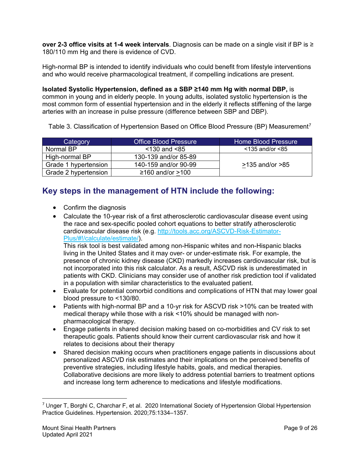**over 2-3 office visits at 1-4 week intervals**. Diagnosis can be made on a single visit if BP is ≥ 180/110 mm Hg and there is evidence of CVD.

High-normal BP is intended to identify individuals who could benefit from lifestyle interventions and who would receive pharmacological treatment, if compelling indications are present.

**Isolated Systolic Hypertension, defined as a SBP ≥140 mm Hg with normal DBP,** is common in young and in elderly people. In young adults, isolated systolic hypertension is the most common form of essential hypertension and in the elderly it reflects stiffening of the large arteries with an increase in pulse pressure (difference between SBP and DBP).

Table 3. Classification of Hypertension Based on Office Blood Pressure (BP) Measurement<sup>[7](#page-8-0)</sup>

| Category             | <b>Office Blood Pressure</b> | Home Blood Pressure   |
|----------------------|------------------------------|-----------------------|
| Normal BP            | $<$ 130 and $<$ 85           | $<$ 135 and/or $<$ 85 |
| High-normal BP       | 130-139 and/or 85-89         |                       |
| Grade 1 hypertension | 140-159 and/or 90-99         | $>135$ and/or $>85$   |
| Grade 2 hypertension | $≥160$ and/or $>100$         |                       |

### **Key steps in the management of HTN include the following:**

- Confirm the diagnosis
- Calculate the 10-year risk of a first atherosclerotic cardiovascular disease event using the race and sex-specific pooled cohort equations to better stratify atherosclerotic cardiovascular disease risk (e.g. [http://tools.acc.org/ASCVD-Risk-Estimator-](http://tools.acc.org/ASCVD-Risk-Estimator-Plus/%23!/calculate/estimate/)[Plus/#!/calculate/estimate/\)](http://tools.acc.org/ASCVD-Risk-Estimator-Plus/%23!/calculate/estimate/).

This risk tool is best validated among non-Hispanic whites and non-Hispanic blacks living in the United States and it may over- or under-estimate risk. For example, the presence of chronic kidney disease (CKD) markedly increases cardiovascular risk, but is not incorporated into this risk calculator. As a result, ASCVD risk is underestimated in patients with CKD. Clinicians may consider use of another risk prediction tool if validated in a population with similar characteristics to the evaluated patient.

- Evaluate for potential comorbid conditions and complications of HTN that may lower goal blood pressure to <130/80.
- Patients with high-normal BP and a 10-yr risk for ASCVD risk >10% can be treated with medical therapy while those with a risk <10% should be managed with nonpharmacological therapy.
- Engage patients in shared decision making based on co-morbidities and CV risk to set therapeutic goals. Patients should know their current cardiovascular risk and how it relates to decisions about their therapy
- Shared decision making occurs when practitioners engage patients in discussions about personalized ASCVD risk estimates and their implications on the perceived benefits of preventive strategies, including lifestyle habits, goals, and medical therapies. Collaborative decisions are more likely to address potential barriers to treatment options and increase long term adherence to medications and lifestyle modifications.

<span id="page-8-0"></span> <sup>7</sup> Unger T, Borghi C, Charchar F, et al. 2020 International Society of Hypertension Global Hypertension Practice Guidelines. Hypertension. 2020;75:1334–1357.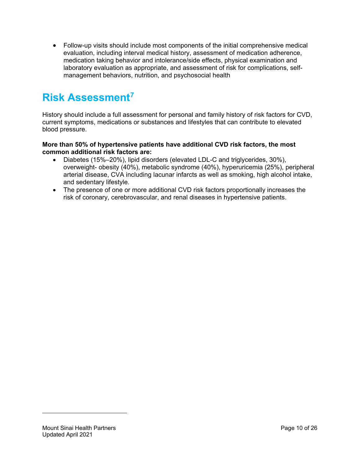• Follow-up visits should include most components of the initial comprehensive medical evaluation, including interval medical history, assessment of medication adherence, medication taking behavior and intolerance/side effects, physical examination and laboratory evaluation as appropriate, and assessment of risk for complications, selfmanagement behaviors, nutrition, and psychosocial health

# **Risk Assessment[7](#page-9-0)**

History should include a full assessment for personal and family history of risk factors for CVD, current symptoms, medications or substances and lifestyles that can contribute to elevated blood pressure.

#### **More than 50% of hypertensive patients have additional CVD risk factors, the most common additional risk factors are:**

- Diabetes (15%–20%), lipid disorders (elevated LDL-C and triglycerides, 30%), overweight- obesity (40%), metabolic syndrome (40%), hyperuricemia (25%), peripheral arterial disease, CVA including lacunar infarcts as well as smoking, high alcohol intake, and sedentary lifestyle.
- The presence of one or more additional CVD risk factors proportionally increases the risk of coronary, cerebrovascular, and renal diseases in hypertensive patients.

<span id="page-9-0"></span>l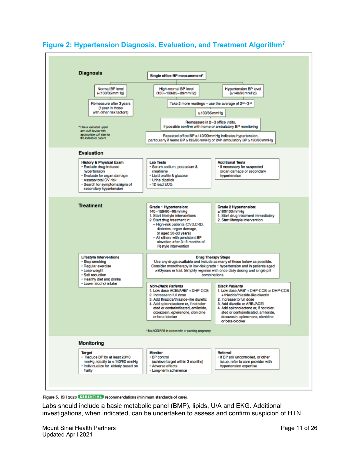

#### **Figure 2: Hypertension Diagnosis, Evaluation, and Treatment Algorithm[7](#page-10-0)**

<span id="page-10-0"></span>Figure 5. ISH 2020 EBBENTIAL recommendations (minimum standards of care).

Labs should include a basic metabolic panel (BMP), lipids, U/A and EKG. Additional investigations, when indicated, can be undertaken to assess and confirm suspicion of HTN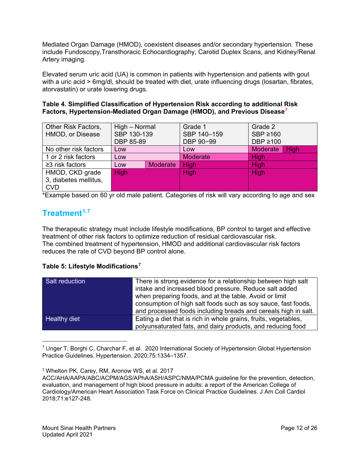Mediated Organ Damage (HMOD), coexistent diseases and/or secondary hypertension. These include Fundoscopy,Transthoracic Echocardiography, Carotid Duplex Scans, and Kidney/Renal Artery imaging.

Elevated serum uric acid (UA) is common in patients with hypertension and patients with gout with a uric acid > 6mg/dl, should be treated with diet, urate influencing drugs (losartan, fibrates, atorvastatin) or urate lowering drugs.

| Table 4. Simplified Classification of Hypertension Risk according to additional Risk  |  |
|---------------------------------------------------------------------------------------|--|
| Factors, Hypertension-Mediated Organ Damage (HMOD), and Previous Disease <sup>7</sup> |  |

| Other Risk Factors,<br>HMOD, or Disease | High – Normal            |  | Grade 1<br>SBP 140-159 | Grade 2                         |  |
|-----------------------------------------|--------------------------|--|------------------------|---------------------------------|--|
|                                         | SBP 130-139<br>DBP 85-89 |  | DBP 90-99              | $SBP \ge 160$<br>DBP $\geq 100$ |  |
| No other risk factors                   | Low                      |  | Low                    | <b>Moderate</b><br><b>High</b>  |  |
| 1 or 2 risk factors                     | Low                      |  | <b>Moderate</b>        | High                            |  |
| $\geq$ 3 risk factors                   | <b>Moderate</b><br>Low   |  | <b>High</b>            | <b>High</b>                     |  |
| HMOD, CKD grade                         | <b>High</b>              |  | <b>High</b>            | <b>High</b>                     |  |
| 3, diabetes mellitus,                   |                          |  |                        |                                 |  |
| <b>CVD</b>                              |                          |  |                        |                                 |  |

\*Example based on 60 yr old male patient. Categories of risk will vary according to age and sex

# **Treatment[1,](#page-11-1)[7](#page-11-2)**

The therapeutic strategy must include lifestyle modifications, BP control to target and effective treatment of other risk factors to optimize reduction of residual cardiovascular risk. The combined treatment of hypertension, HMOD and additional cardiovascular risk factors reduces the rate of CVD beyond BP control alone.

#### **Table 5: Lifestyle Modifications[7](#page-11-3)**

| Salt reduction      | There is strong evidence for a relationship between high salt<br>intake and increased blood pressure. Reduce salt added |
|---------------------|-------------------------------------------------------------------------------------------------------------------------|
|                     | when preparing foods, and at the table. Avoid or limit                                                                  |
|                     | consumption of high salt foods such as soy sauce, fast foods,                                                           |
|                     | and processed foods including breads and cereals high in salt.                                                          |
| <b>Healthy diet</b> | Eating a diet that is rich in whole grains, fruits, vegetables,                                                         |
|                     | polyunsaturated fats, and dairy products, and reducing food                                                             |

 $7$  Unger T, Borghi C, Charchar F, et al. 2020 International Society of Hypertension Global Hypertension Practice Guidelines. Hypertension. 2020;75:1334–1357.

<span id="page-11-1"></span><span id="page-11-0"></span><sup>&</sup>lt;sup>1</sup> Whelton PK, Carey, RM, Aronow WS, et al. 2017

<span id="page-11-3"></span><span id="page-11-2"></span>ACC/AHA/AAPA/ABC/ACPM/AGS/APhA/ASH/ASPC/NMA/PCMA guideline for the prevention, detection, evaluation, and management of high blood pressure in adults: a report of the American College of Cardiology/American Heart Association Task Force on Clinical Practice Guidelines. J Am Coll Cardiol 2018;71:e127-248.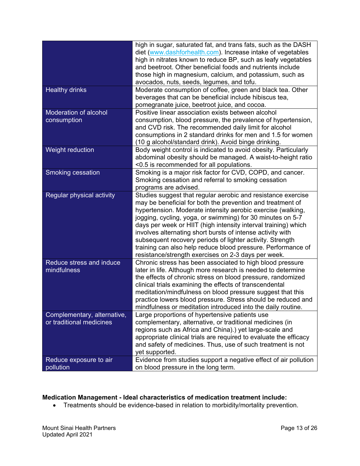|                                                         | high in sugar, saturated fat, and trans fats, such as the DASH<br>diet (www.dashforhealth.com). Increase intake of vegetables<br>high in nitrates known to reduce BP, such as leafy vegetables<br>and beetroot. Other beneficial foods and nutrients include<br>those high in magnesium, calcium, and potassium, such as<br>avocados, nuts, seeds, legumes, and tofu.                                                                                                                                                                                                       |
|---------------------------------------------------------|-----------------------------------------------------------------------------------------------------------------------------------------------------------------------------------------------------------------------------------------------------------------------------------------------------------------------------------------------------------------------------------------------------------------------------------------------------------------------------------------------------------------------------------------------------------------------------|
| <b>Healthy drinks</b>                                   | Moderate consumption of coffee, green and black tea. Other<br>beverages that can be beneficial include hibiscus tea,<br>pomegranate juice, beetroot juice, and cocoa.                                                                                                                                                                                                                                                                                                                                                                                                       |
| <b>Moderation of alcohol</b><br>consumption             | Positive linear association exists between alcohol<br>consumption, blood pressure, the prevalence of hypertension,<br>and CVD risk. The recommended daily limit for alcohol<br>consumptions in 2 standard drinks for men and 1.5 for women<br>(10 g alcohol/standard drink). Avoid binge drinking.                                                                                                                                                                                                                                                                          |
| Weight reduction                                        | Body weight control is indicated to avoid obesity. Particularly<br>abdominal obesity should be managed. A waist-to-height ratio<br><0.5 is recommended for all populations.                                                                                                                                                                                                                                                                                                                                                                                                 |
| Smoking cessation                                       | Smoking is a major risk factor for CVD, COPD, and cancer.<br>Smoking cessation and referral to smoking cessation<br>programs are advised.                                                                                                                                                                                                                                                                                                                                                                                                                                   |
| Regular physical activity                               | Studies suggest that regular aerobic and resistance exercise<br>may be beneficial for both the prevention and treatment of<br>hypertension. Moderate intensity aerobic exercise (walking,<br>jogging, cycling, yoga, or swimming) for 30 minutes on 5-7<br>days per week or HIIT (high intensity interval training) which<br>involves alternating short bursts of intense activity with<br>subsequent recovery periods of lighter activity. Strength<br>training can also help reduce blood pressure. Performance of<br>resistance/strength exercises on 2-3 days per week. |
| Reduce stress and induce<br>mindfulness                 | Chronic stress has been associated to high blood pressure<br>later in life. Although more research is needed to determine<br>the effects of chronic stress on blood pressure, randomized<br>clinical trials examining the effects of transcendental<br>meditation/mindfulness on blood pressure suggest that this<br>practice lowers blood pressure. Stress should be reduced and<br>mindfulness or meditation introduced into the daily routine.                                                                                                                           |
| Complementary, alternative,<br>or traditional medicines | Large proportions of hypertensive patients use<br>complementary, alternative, or traditional medicines (in<br>regions such as Africa and China).) yet large-scale and<br>appropriate clinical trials are required to evaluate the efficacy<br>and safety of medicines. Thus, use of such treatment is not<br>yet supported.                                                                                                                                                                                                                                                 |
| Reduce exposure to air<br>pollution                     | Evidence from studies support a negative effect of air pollution<br>on blood pressure in the long term.                                                                                                                                                                                                                                                                                                                                                                                                                                                                     |

#### **Medication Management - Ideal characteristics of medication treatment include:**

• Treatments should be evidence-based in relation to morbidity/mortality prevention.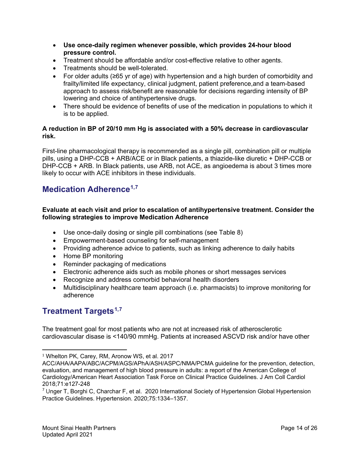- **Use once-daily regimen whenever possible, which provides 24-hour blood pressure control.**
- Treatment should be affordable and/or cost-effective relative to other agents.
- Treatments should be well-tolerated.
- For older adults (≥65 yr of age) with hypertension and a high burden of comorbidity and frailty/limited life expectancy, clinical judgment, patient preference,and a team-based approach to assess risk/benefit are reasonable for decisions regarding intensity of BP lowering and choice of antihypertensive drugs.
- There should be evidence of benefits of use of the medication in populations to which it is to be applied.

#### **A reduction in BP of 20/10 mm Hg is associated with a 50% decrease in cardiovascular risk.**

First-line pharmacological therapy is recommended as a single pill, combination pill or multiple pills, using a DHP-CCB + ARB/ACE or in Black patients, a thiazide-like diuretic + DHP-CCB or DHP-CCB + ARB. In Black patients, use ARB, not ACE, as angioedema is about 3 times more likely to occur with ACE inhibitors in these individuals.

### **Medication Adherence[1,](#page-13-0)[7](#page-13-1)**

#### **Evaluate at each visit and prior to escalation of antihypertensive treatment. Consider the following strategies to improve Medication Adherence**

- Use once-daily dosing or single pill combinations (see Table 8)
- Empowerment-based counseling for self-management
- Providing adherence advice to patients, such as linking adherence to daily habits
- Home BP monitoring
- Reminder packaging of medications
- Electronic adherence aids such as mobile phones or short messages services
- Recognize and address comorbid behavioral health disorders
- Multidisciplinary healthcare team approach (i.e. pharmacists) to improve monitoring for adherence

### **Treatment Targets[1,](#page-13-2)[7](#page-13-3)**

The treatment goal for most patients who are not at increased risk of atherosclerotic cardiovascular disase is <140/90 mmHg. Patients at increased ASCVD risk and/or have other

<span id="page-13-0"></span><sup>&</sup>lt;sup>1</sup> Whelton PK, Carey, RM, Aronow WS, et al. 2017

ACC/AHA/AAPA/ABC/ACPM/AGS/APhA/ASH/ASPC/NMA/PCMA guideline for the prevention, detection, evaluation, and management of high blood pressure in adults: a report of the American College of Cardiology/American Heart Association Task Force on Clinical Practice Guidelines. J Am Coll Cardiol 2018;71:e127-248

<span id="page-13-3"></span><span id="page-13-2"></span><span id="page-13-1"></span> $7$  Unger T, Borghi C, Charchar F, et al. 2020 International Society of Hypertension Global Hypertension Practice Guidelines. Hypertension. 2020;75:1334–1357.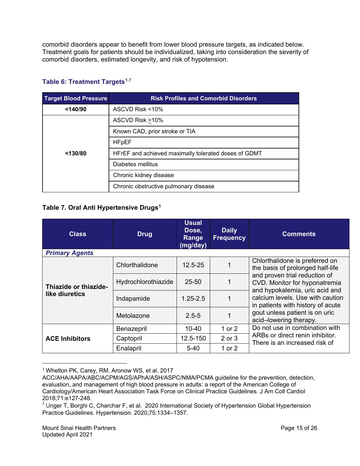comorbid disorders appear to benefit from lower blood pressure targets, as indicated below. Treatment goals for patients should be individualized, taking into consideration the severity of comorbid disorders, estimated longevity, and risk of hypotension.

|  |  |  | Table 6: Treatment Targets <sup>1,7</sup> |
|--|--|--|-------------------------------------------|
|--|--|--|-------------------------------------------|

| <b>Target Blood Pressure</b> | <b>Risk Profiles and Comorbid Disorders</b>          |  |  |
|------------------------------|------------------------------------------------------|--|--|
| $<$ 140/90                   | ASCVD Risk <10%                                      |  |  |
|                              | ASCVD Risk >10%                                      |  |  |
|                              | Known CAD, prior stroke or TIA                       |  |  |
|                              | <b>HFpEF</b>                                         |  |  |
| < 130/80                     | HFrEF and achieved maximally tolerated doses of GDMT |  |  |
|                              | Diabetes mellitus                                    |  |  |
|                              | Chronic kidney disease                               |  |  |
|                              | Chronic obstructive pulmonary disease                |  |  |

#### **Table 7. Oral Anti Hypertensive Drugs[1](#page-14-2)**

| <b>Class</b>          | <b>Drug</b>         | <b>Usual</b><br>Dose,<br>Range<br>(mg/day) | <b>Daily</b><br><b>Frequency</b> | <b>Comments</b>                                                                                  |
|-----------------------|---------------------|--------------------------------------------|----------------------------------|--------------------------------------------------------------------------------------------------|
| <b>Primary Agents</b> |                     |                                            |                                  |                                                                                                  |
|                       | Chlorthalidone      | $12.5 - 25$                                |                                  | Chlorthalidone is preferred on<br>the basis of prolonged half-life                               |
| Thiazide or thiazide- | Hydrochlorothiazide | 25-50                                      | 1                                | and proven trial reduction of<br>CVD. Monitor for hyponatremia<br>and hypokalemia, uric acid and |
| like diuretics        | Indapamide          | $1.25 - 2.5$                               | 1                                | calcium levels. Use with caution<br>in patients with history of acute                            |
|                       | Metolazone          | $2.5 - 5$                                  |                                  | gout unless patient is on uric<br>acid-lowering therapy.                                         |
|                       | Benazepril          | $10 - 40$                                  | 1 or $2$                         | Do not use in combination with                                                                   |
| <b>ACE Inhibitors</b> | Captopril           | 12.5-150                                   | 2 or 3                           | ARBs or direct renin inhibitor.<br>There is an increased risk of                                 |
|                       | Enalapril           | $5 - 40$                                   | 1 or 2                           |                                                                                                  |

<span id="page-14-0"></span><sup>&</sup>lt;sup>1</sup> Whelton PK, Carey, RM, Aronow WS, et al. 2017

ACC/AHA/AAPA/ABC/ACPM/AGS/APhA/ASH/ASPC/NMA/PCMA guideline for the prevention, detection, evaluation, and management of high blood pressure in adults: a report of the American College of Cardiology/American Heart Association Task Force on Clinical Practice Guidelines. J Am Coll Cardiol 2018;71:e127-248.

<span id="page-14-2"></span><span id="page-14-1"></span> $7$  Unger T, Borghi C, Charchar F, et al. 2020 International Society of Hypertension Global Hypertension Practice Guidelines. Hypertension. 2020;75:1334–1357.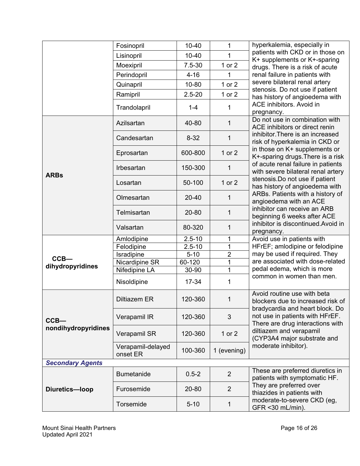|                                | Fosinopril                    | $10 - 40$  | 1              | hyperkalemia, especially in                                                                                                            |  |
|--------------------------------|-------------------------------|------------|----------------|----------------------------------------------------------------------------------------------------------------------------------------|--|
|                                | Lisinopril                    | $10 - 40$  | 1              | patients with CKD or in those on                                                                                                       |  |
|                                | Moexipril                     | $7.5 - 30$ | 1 or 2         | K+ supplements or K+-sparing<br>drugs. There is a risk of acute                                                                        |  |
|                                | Perindopril                   | $4 - 16$   | 1              | renal failure in patients with                                                                                                         |  |
|                                | Quinapril                     | 10-80      | 1 or 2         | severe bilateral renal artery                                                                                                          |  |
|                                | Ramipril                      | $2.5 - 20$ | 1 or 2         | stenosis. Do not use if patient                                                                                                        |  |
|                                |                               |            |                | has history of angioedema with<br>ACE inhibitors. Avoid in                                                                             |  |
|                                | Trandolapril                  | $1 - 4$    | 1              | pregnancy.                                                                                                                             |  |
|                                | Azilsartan                    | 40-80      | 1              | Do not use in combination with<br>ACE inhibitors or direct renin<br>inhibitor. There is an increased<br>risk of hyperkalemia in CKD or |  |
|                                | Candesartan                   | $8 - 32$   | 1              |                                                                                                                                        |  |
|                                | Eprosartan                    | 600-800    | 1 or 2         | in those on K+ supplements or<br>K+-sparing drugs. There is a risk                                                                     |  |
| <b>ARBs</b>                    | Irbesartan                    | 150-300    | 1              | of acute renal failure in patients<br>with severe bilateral renal artery                                                               |  |
|                                | Losartan                      | 50-100     | 1 or $2$       | stenosis. Do not use if patient<br>has history of angioedema with                                                                      |  |
|                                | Olmesartan                    | 20-40      | 1              | ARBs. Patients with a history of<br>angioedema with an ACE                                                                             |  |
|                                | Telmisartan                   | 20-80      | 1              | inhibitor can receive an ARB<br>beginning 6 weeks after ACE                                                                            |  |
|                                | Valsartan                     | 80-320     | 1              | inhibitor is discontinued.Avoid in<br>pregnancy.                                                                                       |  |
|                                | Amlodipine                    | $2.5 - 10$ | 1              | Avoid use in patients with                                                                                                             |  |
|                                | Felodipine                    | $2.5 - 10$ | 1              | HFrEF; amlodipine or felodipine                                                                                                        |  |
| $CCB -$                        | Isradipine                    | $5 - 10$   | $\overline{2}$ | may be used if required. They<br>are associated with dose-related                                                                      |  |
| dihydropyridines               | Nicardipine SR                | 60-120     | 1              | pedal edema, which is more<br>common in women than men.                                                                                |  |
|                                | Nifedipine LA                 | 30-90      | 1              |                                                                                                                                        |  |
|                                | Nisoldipine                   | 17-34      | 1              |                                                                                                                                        |  |
| $CCB -$<br>nondihydropyridines | <b>Diltiazem ER</b>           | 120-360    | 1              | Avoid routine use with beta<br>blockers due to increased risk of<br>bradycardia and heart block. Do                                    |  |
|                                | Verapamil IR                  | 120-360    | 3              | not use in patients with HFrEF.<br>There are drug interactions with<br>diltiazem and verapamil<br>(CYP3A4 major substrate and          |  |
|                                | Verapamil SR                  | 120-360    | 1 or $2$       |                                                                                                                                        |  |
|                                | Verapamil-delayed<br>onset ER | 100-360    | 1 (evening)    | moderate inhibitor).                                                                                                                   |  |
| <b>Secondary Agents</b>        |                               |            |                |                                                                                                                                        |  |
| Diuretics-loop                 | <b>Bumetanide</b>             | $0.5 - 2$  | $\overline{2}$ | These are preferred diuretics in<br>patients with symptomatic HF.                                                                      |  |
|                                | Furosemide                    | 20-80      | $\overline{2}$ | They are preferred over<br>thiazides in patients with                                                                                  |  |
|                                | Torsemide                     | $5 - 10$   | 1              | moderate-to-severe CKD (eg,<br>GFR <30 mL/min).                                                                                        |  |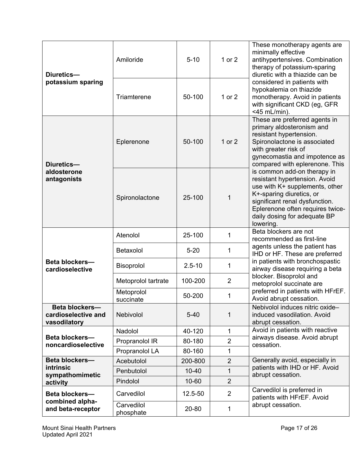| Diuretics-<br>potassium sparing                       | Amiloride                | $5 - 10$   | 1 or $2$       | These monotherapy agents are<br>minimally effective<br>antihypertensives. Combination<br>therapy of potassium-sparing<br>diuretic with a thiazide can be<br>considered in patients with<br>hypokalemia on thiazide<br>monotherapy. Avoid in patients<br>with significant CKD (eg, GFR)<br><45 mL/min). |
|-------------------------------------------------------|--------------------------|------------|----------------|--------------------------------------------------------------------------------------------------------------------------------------------------------------------------------------------------------------------------------------------------------------------------------------------------------|
|                                                       | Triamterene              | 50-100     | $1$ or $2$     |                                                                                                                                                                                                                                                                                                        |
| Diuretics-<br>aldosterone<br>antagonists              | Eplerenone               | 50-100     | 1 or 2         | These are preferred agents in<br>primary aldosteronism and<br>resistant hypertension.<br>Spironolactone is associated<br>with greater risk of<br>gynecomastia and impotence as<br>compared with eplerenone. This                                                                                       |
|                                                       | Spironolactone           | 25-100     | 1              | is common add-on therapy in<br>resistant hypertension. Avoid<br>use with K+ supplements, other<br>K+-sparing diuretics, or<br>significant renal dysfunction.<br>Eplerenone often requires twice-<br>daily dosing for adequate BP<br>lowering.                                                          |
| <b>Beta blockers-</b><br>cardioselective              | Atenolol                 | 25-100     | 1              | Beta blockers are not<br>recommended as first-line<br>agents unless the patient has<br>IHD or HF. These are preferred<br>in patients with bronchospastic<br>airway disease requiring a beta                                                                                                            |
|                                                       | Betaxolol                | $5 - 20$   | 1              |                                                                                                                                                                                                                                                                                                        |
|                                                       | Bisoprolol               | $2.5 - 10$ | 1              |                                                                                                                                                                                                                                                                                                        |
|                                                       |                          |            |                |                                                                                                                                                                                                                                                                                                        |
|                                                       | Metoprolol tartrate      | 100-200    | $\overline{2}$ | blocker. Bisoprolol and<br>metoprolol succinate are                                                                                                                                                                                                                                                    |
|                                                       | Metoprolol<br>succinate  | 50-200     | 1              | preferred in patients with HFrEF.<br>Avoid abrupt cessation.                                                                                                                                                                                                                                           |
| Beta blockers-<br>cardioselective and<br>vasodilatory | Nebivolol                | $5-40$     | 1              | Nebivolol induces nitric oxide-<br>induced vasodilation. Avoid<br>abrupt cessation.                                                                                                                                                                                                                    |
|                                                       | Nadolol                  | 40-120     | 1              | Avoid in patients with reactive                                                                                                                                                                                                                                                                        |
| <b>Beta blockers-</b>                                 | Propranolol IR           | 80-180     | $\overline{2}$ | airways disease. Avoid abrupt                                                                                                                                                                                                                                                                          |
| noncardioselective                                    | Propranolol LA           | 80-160     | 1              | cessation.                                                                                                                                                                                                                                                                                             |
| Beta blockers-                                        | Acebutolol               | 200-800    | $\overline{2}$ | Generally avoid, especially in                                                                                                                                                                                                                                                                         |
| intrinsic                                             | Penbutolol               | $10 - 40$  | $\mathbf 1$    | patients with IHD or HF. Avoid                                                                                                                                                                                                                                                                         |
| sympathomimetic<br>activity                           | Pindolol                 | 10-60      | $\overline{2}$ | abrupt cessation.                                                                                                                                                                                                                                                                                      |
| <b>Beta blockers-</b><br>combined alpha-              | Carvedilol<br>Carvedilol | 12.5-50    | $\overline{2}$ | Carvedilol is preferred in<br>patients with HFrEF. Avoid<br>abrupt cessation.                                                                                                                                                                                                                          |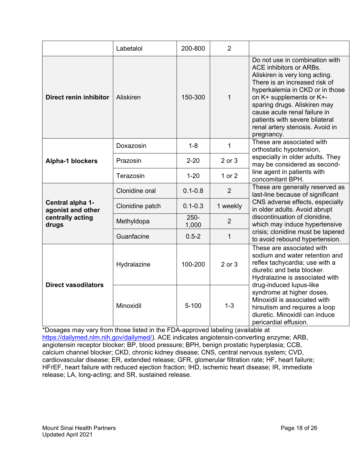|                                                                    | Labetalol       | 200-800          | $\overline{2}$ |                                                                                                                                                                                                                                                                                                                                                   |
|--------------------------------------------------------------------|-----------------|------------------|----------------|---------------------------------------------------------------------------------------------------------------------------------------------------------------------------------------------------------------------------------------------------------------------------------------------------------------------------------------------------|
| Direct renin inhibitor                                             | Aliskiren       | 150-300          | 1              | Do not use in combination with<br>ACE inhibitors or ARBs.<br>Aliskiren is very long acting.<br>There is an increased risk of<br>hyperkalemia in CKD or in those<br>on K+ supplements or K+-<br>sparing drugs. Aliskiren may<br>cause acute renal failure in<br>patients with severe bilateral<br>renal artery stenosis. Avoid in<br>pregnancy.    |
|                                                                    | Doxazosin       | $1 - 8$          | 1              | These are associated with<br>orthostatic hypotension,                                                                                                                                                                                                                                                                                             |
| <b>Alpha-1 blockers</b>                                            | Prazosin        | $2 - 20$         | 2 or 3         | especially in older adults. They<br>may be considered as second-                                                                                                                                                                                                                                                                                  |
|                                                                    | Terazosin       | $1 - 20$         | 1 or 2         | line agent in patients with<br>concomitant BPH.                                                                                                                                                                                                                                                                                                   |
| Central alpha 1-<br>agonist and other<br>centrally acting<br>drugs | Clonidine oral  | $0.1 - 0.8$      | $\overline{2}$ | These are generally reserved as<br>last-line because of significant                                                                                                                                                                                                                                                                               |
|                                                                    | Clonidine patch | $0.1 - 0.3$      | 1 weekly       | CNS adverse effects, especially<br>in older adults. Avoid abrupt                                                                                                                                                                                                                                                                                  |
|                                                                    | Methyldopa      | $250 -$<br>1,000 | $\overline{2}$ | discontinuation of clonidine,<br>which may induce hypertensive                                                                                                                                                                                                                                                                                    |
|                                                                    | Guanfacine      | $0.5 - 2$        | $\mathbf{1}$   | crisis; clonidine must be tapered<br>to avoid rebound hypertension.                                                                                                                                                                                                                                                                               |
| <b>Direct vasodilators</b>                                         | Hydralazine     | 100-200          | 2 or 3         | These are associated with<br>sodium and water retention and<br>reflex tachycardia; use with a<br>diuretic and beta blocker.<br>Hydralazine is associated with<br>drug-induced lupus-like<br>syndrome at higher doses.<br>Minoxidil is associated with<br>hirsutism and requires a loop<br>diuretic. Minoxidil can induce<br>pericardial effusion. |
|                                                                    | Minoxidil       | $5 - 100$        | $1 - 3$        |                                                                                                                                                                                                                                                                                                                                                   |

\*Dosages may vary from those listed in the FDA-approved labeling (available at [https://dailymed.nlm.nih.gov/dailymed/\)](https://dailymed.nlm.nih.gov/dailymed/). ACE indicates angiotensin-converting enzyme; ARB, angiotensin receptor blocker; BP, blood pressure; BPH, benign prostatic hyperplasia; CCB, calcium channel blocker; CKD, chronic kidney disease; CNS, central nervous system; CVD, cardiovascular disease; ER, extended release; GFR, glomerular filtration rate; HF, heart failure; HFrEF, heart failure with reduced ejection fraction; IHD, ischemic heart disease; IR, immediate release; LA, long-acting; and SR, sustained release.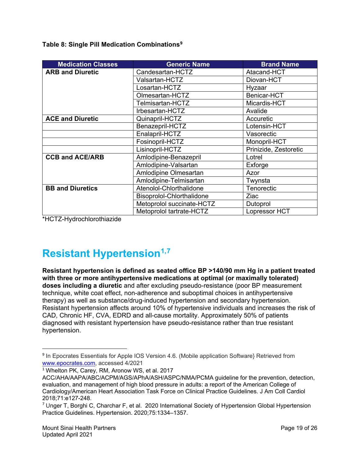**Table 8: Single Pill Medication Combinations[9](#page-18-0)**

| <b>Medication Classes</b> | <b>Generic Name</b>       | <b>Brand Name</b>     |
|---------------------------|---------------------------|-----------------------|
| <b>ARB and Diuretic</b>   | Candesartan-HCTZ          | Atacand-HCT           |
|                           | Valsartan-HCTZ            | Diovan-HCT            |
|                           | Losartan-HCTZ             | Hyzaar                |
|                           | Olmesartan-HCTZ           | Benicar-HCT           |
|                           | Telmisartan-HCTZ          | Micardis-HCT          |
|                           | Irbesartan-HCTZ           | Avalide               |
| <b>ACE and Diuretic</b>   | Quinapril-HCTZ            | Accuretic             |
|                           | Benazepril-HCTZ           | Lotensin-HCT          |
|                           | Enalapril-HCTZ            | Vasorectic            |
|                           | Fosinopril-HCTZ           | Monopril-HCT          |
|                           | Lisinopril-HCTZ           | Prinizide, Zestoretic |
| <b>CCB and ACE/ARB</b>    | Amlodipine-Benazepril     | Lotrel                |
|                           | Amlodipine-Valsartan      | Exforge               |
|                           | Amlodipine Olmesartan     | Azor                  |
|                           | Amlodipine-Telmisartan    | Twynsta               |
| <b>BB and Diuretics</b>   | Atenolol-Chlorthalidone   | Tenorectic            |
|                           | Bisoprolol-Chlorthalidone | Ziac                  |
|                           | Metoprolol succinate-HCTZ | Dutoprol              |
|                           | Metoprolol tartrate-HCTZ  | <b>Lopressor HCT</b>  |

\*HCTZ-Hydrochlorothiazide

# **Resistant Hypertension[1,](#page-18-1)[7](#page-18-2)**

**Resistant hypertension is defined as seated office BP >140/90 mm Hg in a patient treated with three or more antihypertensive medications at optimal (or maximally tolerated) doses including a diuretic** and after excluding pseudo-resistance (poor BP measurement technique, white coat effect, non-adherence and suboptimal choices in antihypertensive therapy) as well as substance/drug-induced hypertension and secondary hypertension. Resistant hypertension affects around 10% of hypertensive individuals and increases the risk of CAD, Chronic HF, CVA, EDRD and all-cause mortality. Approximately 50% of patients diagnosed with resistant hypertension have pseudo-resistance rather than true resistant hypertension.

<span id="page-18-0"></span><sup>&</sup>lt;sup>9</sup> In Epocrates Essentials for Apple IOS Version 4.6. (Mobile application Software} Retrieved from [www.epocrates.com,](http://www.epocrates.com/) accessed 4/2021

<span id="page-18-1"></span><sup>&</sup>lt;sup>1</sup> Whelton PK, Carey, RM, Aronow WS, et al. 2017

ACC/AHA/AAPA/ABC/ACPM/AGS/APhA/ASH/ASPC/NMA/PCMA guideline for the prevention, detection, evaluation, and management of high blood pressure in adults: a report of the American College of Cardiology/American Heart Association Task Force on Clinical Practice Guidelines. J Am Coll Cardiol 2018;71:e127-248.

<span id="page-18-2"></span> $7$  Unger T, Borghi C, Charchar F, et al. 2020 International Society of Hypertension Global Hypertension Practice Guidelines. Hypertension. 2020;75:1334–1357.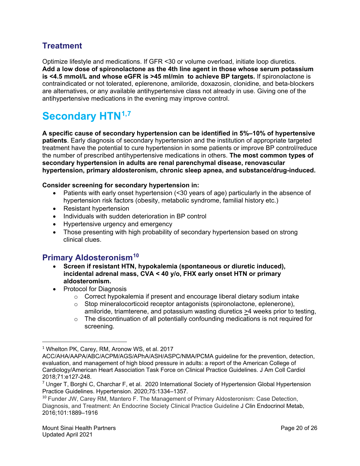### **Treatment**

Optimize lifestyle and medications. If GFR <30 or volume overload, initiate loop diuretics. **Add a low dose of spironolactone as the 4th line agent in those whose serum potassium is <4.5 mmol/L and whose eGFR is >45 ml/min to achieve BP targets.** If spironolactone is contraindicated or not tolerated, eplerenone, amiloride, doxazosin, clonidine, and beta-blockers are alternatives, or any available antihypertensive class not already in use. Giving one of the antihypertensive medications in the evening may improve control.

# **Secondary HTN[1,](#page-19-0)[7](#page-19-1)**

**A specific cause of secondary hypertension can be identified in 5%–10% of hypertensive patients**. Early diagnosis of secondary hypertension and the institution of appropriate targeted treatment have the potential to cure hypertension in some patients or improve BP control/reduce the number of prescribed antihypertensive medications in others. **The most common types of secondary hypertension in adults are renal parenchymal disease, renovascular hypertension, primary aldosteronism, chronic sleep apnea, and substance/drug-induced.**

#### **Consider screening for secondary hypertension in:**

- Patients with early onset hypertension (<30 years of age) particularly in the absence of hypertension risk factors (obesity, metabolic syndrome, familial history etc.)
- Resistant hypertension
- Individuals with sudden deterioration in BP control
- Hypertensive urgency and emergency
- Those presenting with high probability of secondary hypertension based on strong clinical clues.

### **Primary Aldosteronism[10](#page-19-2)**

- **Screen if resistant HTN, hypokalemia (spontaneous or diuretic induced), incidental adrenal mass, CVA < 40 y/o, FHX early onset HTN or primary aldosteromism.**
- Protocol for Diagnosis
	- $\circ$  Correct hypokalemia if present and encourage liberal dietary sodium intake
	- $\circ$  Stop mineralocorticoid receptor antagonists (spironolactone, eplenerone), amiloride, triamterene, and potassium wasting diuretics >4 weeks prior to testing,
	- $\circ$  The discontinuation of all potentially confounding medications is not required for screening.

<span id="page-19-0"></span> $1$  Whelton PK, Carey, RM, Aronow WS, et al. 2017

ACC/AHA/AAPA/ABC/ACPM/AGS/APhA/ASH/ASPC/NMA/PCMA guideline for the prevention, detection, evaluation, and management of high blood pressure in adults: a report of the American College of Cardiology/American Heart Association Task Force on Clinical Practice Guidelines. J Am Coll Cardiol 2018;71:e127-248.

<span id="page-19-1"></span> $7$  Unger T, Borghi C, Charchar F, et al. 2020 International Society of Hypertension Global Hypertension Practice Guidelines. Hypertension. 2020;75:1334–1357.

<span id="page-19-2"></span><sup>&</sup>lt;sup>10</sup> Funder JW, Carey RM, Mantero F. The Management of Primary Aldosteronism: Case Detection, Diagnosis, and Treatment: An Endocrine Society Clinical Practice Guideline J Clin Endocrinol Metab, 2016;101:1889–1916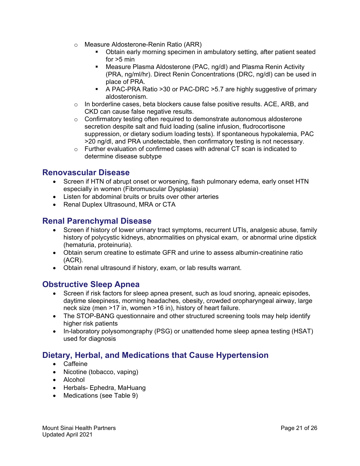- o Measure Aldosterone-Renin Ratio (ARR)
	- Obtain early morning specimen in ambulatory setting, after patient seated for  $>5$  min
	- Measure Plasma Aldosterone (PAC, ng/dl) and Plasma Renin Activity (PRA, ng/ml/hr). Direct Renin Concentrations (DRC, ng/dl) can be used in place of PRA.
	- A PAC-PRA Ratio >30 or PAC-DRC >5.7 are highly suggestive of primary aldosteronism.
- $\circ$  In borderline cases, beta blockers cause false positive results, ACE, ARB, and CKD can cause false negative results.
- $\circ$  Confirmatory testing often required to demonstrate autonomous aldosterone secretion despite salt and fluid loading (saline infusion, fludrocortisone suppression, or dietary sodium loading tests). If spontaneous hypokalemia, PAC >20 ng/dl, and PRA undetectable, then confirmatory testing is not necessary.
- o Further evaluation of confirmed cases with adrenal CT scan is indicated to determine disease subtype

#### **Renovascular Disease**

- Screen if HTN of abrupt onset or worsening, flash pulmonary edema, early onset HTN especially in women (Fibromuscular Dysplasia)
- Listen for abdominal bruits or bruits over other arteries
- Renal Duplex Ultrasound, MRA or CTA

### **Renal Parenchymal Disease**

- Screen if history of lower urinary tract symptoms, recurrent UTIs, analgesic abuse, family history of polycystic kidneys, abnormalities on physical exam, or abnormal urine dipstick (hematuria, proteinuria).
- Obtain serum creatine to estimate GFR and urine to assess albumin-creatinine ratio (ACR).
- Obtain renal ultrasound if history, exam, or lab results warrant.

#### **Obstructive Sleep Apnea**

- Screen if risk factors for sleep apnea present, such as loud snoring, apneaic episodes, daytime sleepiness, morning headaches, obesity, crowded oropharyngeal airway, large neck size (men >17 in, women >16 in), history of heart failure.
- The STOP-BANG questionnaire and other structured screening tools may help identify higher risk patients
- In-laboratory polysomongraphy (PSG) or unattended home sleep apnea testing (HSAT) used for diagnosis

# **Dietary, Herbal, and Medications that Cause Hypertension**

- Caffeine
- Nicotine (tobacco, vaping)
- Alcohol
- Herbals- Ephedra, MaHuang
- Medications (see Table 9)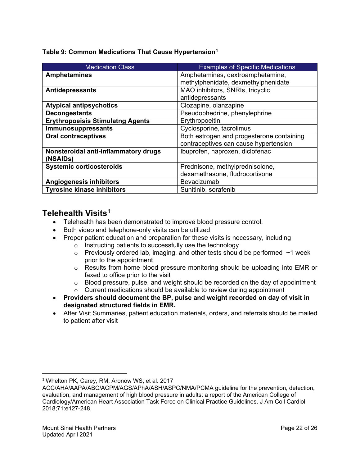| <b>Medication Class</b>                 | <b>Examples of Specific Medications</b>   |
|-----------------------------------------|-------------------------------------------|
| <b>Amphetamines</b>                     | Amphetamines, dextroamphetamine,          |
|                                         | methylphenidate, dexmethylphenidate       |
| <b>Antidepressants</b>                  | MAO inhibitors, SNRIs, tricyclic          |
|                                         | antidepressants                           |
| <b>Atypical antipsychotics</b>          | Clozapine, olanzapine                     |
| <b>Decongestants</b>                    | Pseudophedrine, phenylephrine             |
| <b>Erythropoeisis Stimulatng Agents</b> | Erythropoeitin                            |
| Immunosuppressants                      | Cyclosporine, tacrolimus                  |
| <b>Oral contraceptives</b>              | Both estrogen and progesterone containing |
|                                         | contraceptives can cause hypertension     |
| Nonsteroidal anti-inflammatory drugs    | Ibuprofen, naproxen, diclofenac           |
| (NSAIDs)                                |                                           |
| <b>Systemic corticosteroids</b>         | Prednisone, methylprednisolone,           |
|                                         | dexamethasone, fludrocortisone            |
| <b>Angiogenesis inhibitors</b>          | Bevacizumab                               |
| <b>Tyrosine kinase inhibitors</b>       | Sunitinib, sorafenib                      |

#### **Telehealth Visits[1](#page-21-1)**

- Telehealth has been demonstrated to improve blood pressure control.
- Both video and telephone-only visits can be utilized
- Proper patient education and preparation for these visits is necessary, including
	- o Instructing patients to successfully use the technology
	- $\circ$  Previously ordered lab, imaging, and other tests should be performed  $\sim$ 1 week prior to the appointment
	- o Results from home blood pressure monitoring should be uploading into EMR or faxed to office prior to the visit
	- o Blood pressure, pulse, and weight should be recorded on the day of appointment
	- o Current medications should be available to review during appointment
- **Providers should document the BP, pulse and weight recorded on day of visit in designated structured fields in EMR.**
- After Visit Summaries, patient education materials, orders, and referrals should be mailed to patient after visit

<span id="page-21-0"></span><sup>&</sup>lt;sup>1</sup> Whelton PK, Carey, RM, Aronow WS, et al. 2017

<span id="page-21-1"></span>ACC/AHA/AAPA/ABC/ACPM/AGS/APhA/ASH/ASPC/NMA/PCMA guideline for the prevention, detection, evaluation, and management of high blood pressure in adults: a report of the American College of Cardiology/American Heart Association Task Force on Clinical Practice Guidelines. J Am Coll Cardiol 2018;71:e127-248.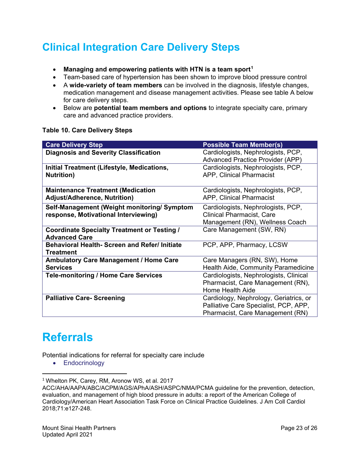# **Clinical Integration Care Delivery Steps**

- **Managing and empowering patients with HTN is a team sport[1](#page-22-0)**
- Team-based care of hypertension has been shown to improve blood pressure control
- A **wide-variety of team members** can be involved in the diagnosis, lifestyle changes, medication management and disease management activities. Please see table A below for care delivery steps.
- Below are **potential team members and options** to integrate specialty care, primary care and advanced practice providers.

#### **Table 10. Care Delivery Steps**

| <b>Care Delivery Step</b>                                                          | <b>Possible Team Member(s)</b>                                                                                      |
|------------------------------------------------------------------------------------|---------------------------------------------------------------------------------------------------------------------|
| <b>Diagnosis and Severity Classification</b>                                       | Cardiologists, Nephrologists, PCP,<br><b>Advanced Practice Provider (APP)</b>                                       |
| Initial Treatment (Lifestyle, Medications,<br><b>Nutrition</b> )                   | Cardiologists, Nephrologists, PCP,<br>APP, Clinical Pharmacist                                                      |
| <b>Maintenance Treatment (Medication</b><br><b>Adjust/Adherence, Nutrition)</b>    | Cardiologists, Nephrologists, PCP,<br>APP, Clinical Pharmacist                                                      |
| Self-Management (Weight monitoring/Symptom<br>response, Motivational Interviewing) | Cardiologists, Nephrologists, PCP,<br><b>Clinical Pharmacist, Care</b><br>Management (RN), Wellness Coach           |
| <b>Coordinate Specialty Treatment or Testing /</b><br><b>Advanced Care</b>         | Care Management (SW, RN)                                                                                            |
| <b>Behavioral Health- Screen and Refer/ Initiate</b><br><b>Treatment</b>           | PCP, APP, Pharmacy, LCSW                                                                                            |
| <b>Ambulatory Care Management / Home Care</b><br><b>Services</b>                   | Care Managers (RN, SW), Home<br>Health Aide, Community Paramedicine                                                 |
| <b>Tele-monitoring / Home Care Services</b>                                        | Cardiologists, Nephrologists, Clinical<br>Pharmacist, Care Management (RN),<br>Home Health Aide                     |
| <b>Palliative Care-Screening</b>                                                   | Cardiology, Nephrology, Geriatrics, or<br>Palliative Care Specialist, PCP, APP,<br>Pharmacist, Care Management (RN) |

# **Referrals**

Potential indications for referral for specialty care include

• Endocrinology

<span id="page-22-0"></span><sup>&</sup>lt;sup>1</sup> Whelton PK, Carey, RM, Aronow WS, et al. 2017

ACC/AHA/AAPA/ABC/ACPM/AGS/APhA/ASH/ASPC/NMA/PCMA guideline for the prevention, detection, evaluation, and management of high blood pressure in adults: a report of the American College of Cardiology/American Heart Association Task Force on Clinical Practice Guidelines. J Am Coll Cardiol 2018;71:e127-248.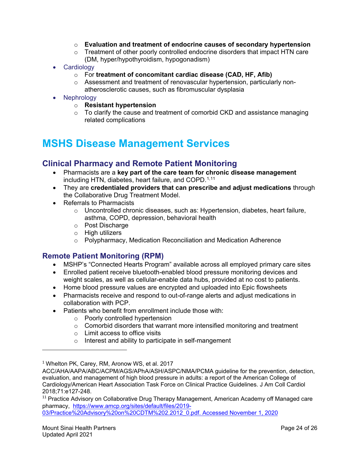- o **Evaluation and treatment of endocrine causes of secondary hypertension**
- o Treatment of other poorly controlled endocrine disorders that impact HTN care (DM, hyper/hypothyroidism, hypogonadism)
- Cardiology
	- o For **treatment of concomitant cardiac disease (CAD, HF, Afib)**
	- o Assessment and treatment of renovascular hypertension, particularly nonatherosclerotic causes, such as fibromuscular dysplasia
- Nephrology
	- o **Resistant hypertension**
	- $\circ$  To clarify the cause and treatment of comorbid CKD and assistance managing related complications

# **MSHS Disease Management Services**

#### **Clinical Pharmacy and Remote Patient Monitoring**

- Pharmacists are a **key part of the care team for chronic disease management** including HTN, diabetes, heart failure, and COPD.<sup>[1,](#page-23-1)[11](#page-23-2)</sup>
- They are **credentialed providers that can prescribe and adjust medications** through the Collaborative Drug Treatment Model.
- Referrals to Pharmacists
	- $\circ$  Uncontrolled chronic diseases, such as: Hypertension, diabetes, heart failure, asthma, COPD, depression, behavioral health
	- o Post Discharge
	- o High utilizers
	- o Polypharmacy, Medication Reconciliation and Medication Adherence

#### **Remote Patient Monitoring (RPM)**

- MSHP's "Connected Hearts Program" available across all employed primary care sites
- Enrolled patient receive bluetooth-enabled blood pressure monitoring devices and weight scales, as well as cellular-enable data hubs, provided at no cost to patients.
- Home blood pressure values are encrypted and uploaded into Epic flowsheets
- Pharmacists receive and respond to out-of-range alerts and adjust medications in collaboration with PCP.
- Patients who benefit from enrollment include those with:
	- o Poorly controlled hypertension
	- $\circ$  Comorbid disorders that warrant more intensified monitoring and treatment
	- o Limit access to office visits
	- o Interest and ability to participate in self-mangement

<span id="page-23-1"></span><span id="page-23-0"></span><sup>1</sup> Whelton PK, Carey, RM, Aronow WS, et al. 2017

<span id="page-23-2"></span><sup>11</sup> Practice Advisory on Collaborative Drug Therapy Management, American Academy off Managed care pharmacy, [https://www.amcp.org/sites/default/files/2019-](https://www.amcp.org/sites/default/files/2019-03/Practice%20Advisory%20on%20CDTM%202.2012_0.pdf) [03/Practice%20Advisory%20on%20CDTM%202.2012\\_0.pdf.](https://www.amcp.org/sites/default/files/2019-03/Practice%20Advisory%20on%20CDTM%202.2012_0.pdf) Accessed November 1, 2020

 $\overline{a}$ 

ACC/AHA/AAPA/ABC/ACPM/AGS/APhA/ASH/ASPC/NMA/PCMA guideline for the prevention, detection, evaluation, and management of high blood pressure in adults: a report of the American College of Cardiology/American Heart Association Task Force on Clinical Practice Guidelines. J Am Coll Cardiol 2018;71:e127-248.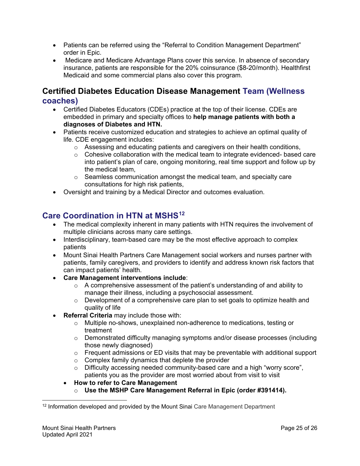- Patients can be referred using the "Referral to Condition Management Department" order in Epic.
- Medicare and Medicare Advantage Plans cover this service. In absence of secondary insurance, patients are responsible for the 20% coinsurance (\$8-20/month). Healthfirst Medicaid and some commercial plans also cover this program.

#### **Certified Diabetes Education Disease Management Team (Wellness coaches)**

- Certified Diabetes Educators (CDEs) practice at the top of their license. CDEs are embedded in primary and specialty offices to **help manage patients with both a diagnoses of Diabetes and HTN.**
- Patients receive customized education and strategies to achieve an optimal quality of life. CDE engagement includes:
	- $\circ$  Assessing and educating patients and caregivers on their health conditions,
	- $\circ$  Cohesive collaboration with the medical team to integrate evidenced- based care into patient's plan of care, ongoing monitoring, real time support and follow up by the medical team,
	- $\circ$  Seamless communication amongst the medical team, and specialty care consultations for high risk patients,
- Oversight and training by a Medical Director and outcomes evaluation.

## **Care Coordination in HTN at MSHS[12](#page-24-0)**

- The medical complexity inherent in many patients with HTN requires the involvement of multiple clinicians across many care settings.
- Interdisciplinary, team-based care may be the most effective approach to complex patients
- Mount Sinai Health Partners Care Management social workers and nurses partner with patients, family caregivers, and providers to identify and address known risk factors that can impact patients' health.
- **Care Management interventions include**:
	- $\circ$  A comprehensive assessment of the patient's understanding of and ability to manage their illness, including a psychosocial assessment.
	- o Development of a comprehensive care plan to set goals to optimize health and quality of life
- **Referral Criteria** may include those with:
	- $\circ$  Multiple no-shows, unexplained non-adherence to medications, testing or treatment
	- $\circ$  Demonstrated difficulty managing symptoms and/or disease processes (including those newly diagnosed)
	- $\circ$  Frequent admissions or ED visits that may be preventable with additional support
	- o Complex family dynamics that deplete the provider
	- o Difficulty accessing needed community-based care and a high "worry score", patients you as the provider are most worried about from visit to visit
	- **How to refer to Care Management** 
		- o **Use the MSHP Care Management Referral in Epic (order #391414).**

<span id="page-24-1"></span><span id="page-24-0"></span> $\overline{a}$ <sup>12</sup> Information developed and provided by the Mount Sinai Care Management Department